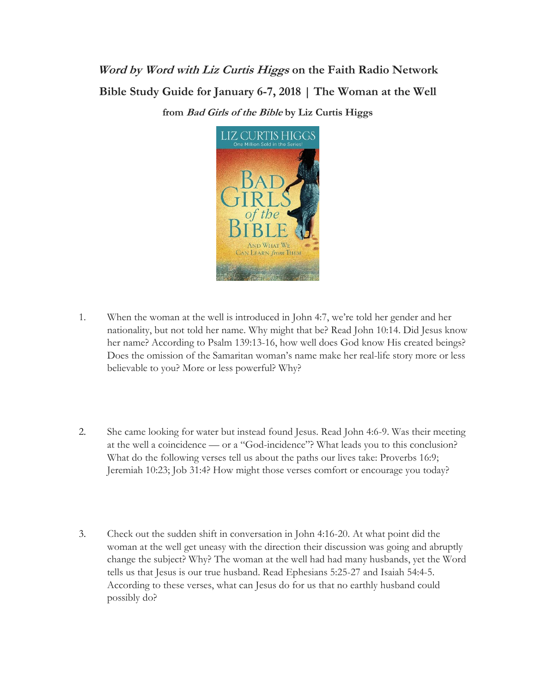**Word by Word with Liz Curtis Higgs on the Faith Radio Network Bible Study Guide for January 6-7, 2018 | The Woman at the Well from Bad Girls of the Bible by Liz Curtis Higgs**



- 1. When the woman at the well is introduced in John 4:7, we're told her gender and her nationality, but not told her name. Why might that be? Read John 10:14. Did Jesus know her name? According to Psalm 139:13-16, how well does God know His created beings? Does the omission of the Samaritan woman's name make her real-life story more or less believable to you? More or less powerful? Why?
- 2. She came looking for water but instead found Jesus. Read John 4:6-9. Was their meeting at the well a coincidence — or a "God-incidence"? What leads you to this conclusion? What do the following verses tell us about the paths our lives take: Proverbs 16:9; Jeremiah 10:23; Job 31:4? How might those verses comfort or encourage you today?
- 3. Check out the sudden shift in conversation in John 4:16-20. At what point did the woman at the well get uneasy with the direction their discussion was going and abruptly change the subject? Why? The woman at the well had had many husbands, yet the Word tells us that Jesus is our true husband. Read Ephesians 5:25-27 and Isaiah 54:4-5. According to these verses, what can Jesus do for us that no earthly husband could possibly do?